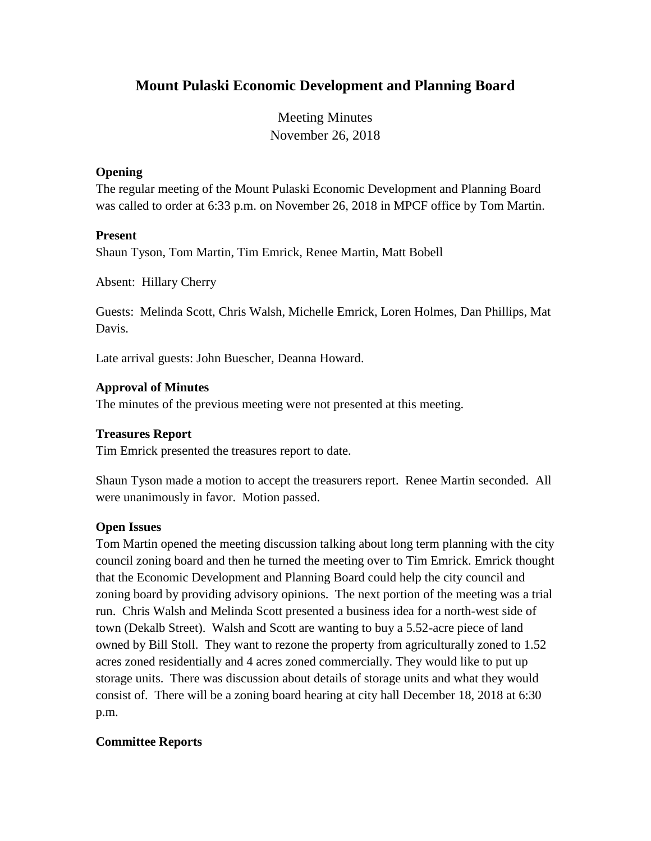# **Mount Pulaski Economic Development and Planning Board**

Meeting Minutes November 26, 2018

#### **Opening**

The regular meeting of the Mount Pulaski Economic Development and Planning Board was called to order at 6:33 p.m. on November 26, 2018 in MPCF office by Tom Martin.

#### **Present**

Shaun Tyson, Tom Martin, Tim Emrick, Renee Martin, Matt Bobell

Absent: Hillary Cherry

Guests: Melinda Scott, Chris Walsh, Michelle Emrick, Loren Holmes, Dan Phillips, Mat Davis.

Late arrival guests: John Buescher, Deanna Howard.

#### **Approval of Minutes**

The minutes of the previous meeting were not presented at this meeting.

#### **Treasures Report**

Tim Emrick presented the treasures report to date.

Shaun Tyson made a motion to accept the treasurers report. Renee Martin seconded. All were unanimously in favor. Motion passed.

#### **Open Issues**

Tom Martin opened the meeting discussion talking about long term planning with the city council zoning board and then he turned the meeting over to Tim Emrick. Emrick thought that the Economic Development and Planning Board could help the city council and zoning board by providing advisory opinions. The next portion of the meeting was a trial run. Chris Walsh and Melinda Scott presented a business idea for a north-west side of town (Dekalb Street). Walsh and Scott are wanting to buy a 5.52-acre piece of land owned by Bill Stoll. They want to rezone the property from agriculturally zoned to 1.52 acres zoned residentially and 4 acres zoned commercially. They would like to put up storage units. There was discussion about details of storage units and what they would consist of. There will be a zoning board hearing at city hall December 18, 2018 at 6:30 p.m.

#### **Committee Reports**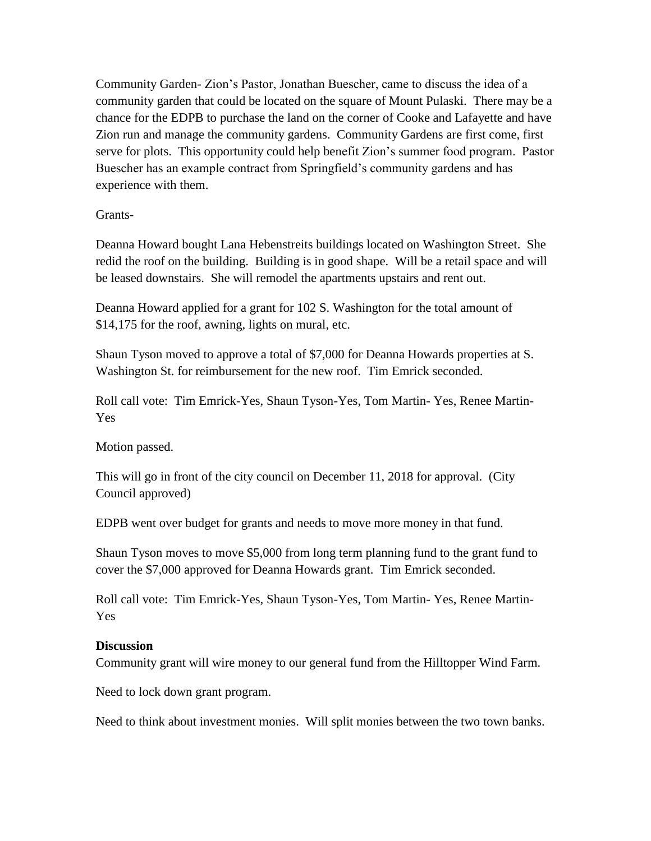Community Garden- Zion's Pastor, Jonathan Buescher, came to discuss the idea of a community garden that could be located on the square of Mount Pulaski. There may be a chance for the EDPB to purchase the land on the corner of Cooke and Lafayette and have Zion run and manage the community gardens. Community Gardens are first come, first serve for plots. This opportunity could help benefit Zion's summer food program. Pastor Buescher has an example contract from Springfield's community gardens and has experience with them.

Grants-

Deanna Howard bought Lana Hebenstreits buildings located on Washington Street. She redid the roof on the building. Building is in good shape. Will be a retail space and will be leased downstairs. She will remodel the apartments upstairs and rent out.

Deanna Howard applied for a grant for 102 S. Washington for the total amount of \$14,175 for the roof, awning, lights on mural, etc.

Shaun Tyson moved to approve a total of \$7,000 for Deanna Howards properties at S. Washington St. for reimbursement for the new roof. Tim Emrick seconded.

Roll call vote: Tim Emrick-Yes, Shaun Tyson-Yes, Tom Martin- Yes, Renee Martin-Yes

Motion passed.

This will go in front of the city council on December 11, 2018 for approval. (City Council approved)

EDPB went over budget for grants and needs to move more money in that fund.

Shaun Tyson moves to move \$5,000 from long term planning fund to the grant fund to cover the \$7,000 approved for Deanna Howards grant. Tim Emrick seconded.

Roll call vote: Tim Emrick-Yes, Shaun Tyson-Yes, Tom Martin- Yes, Renee Martin-Yes

#### **Discussion**

Community grant will wire money to our general fund from the Hilltopper Wind Farm.

Need to lock down grant program.

Need to think about investment monies. Will split monies between the two town banks.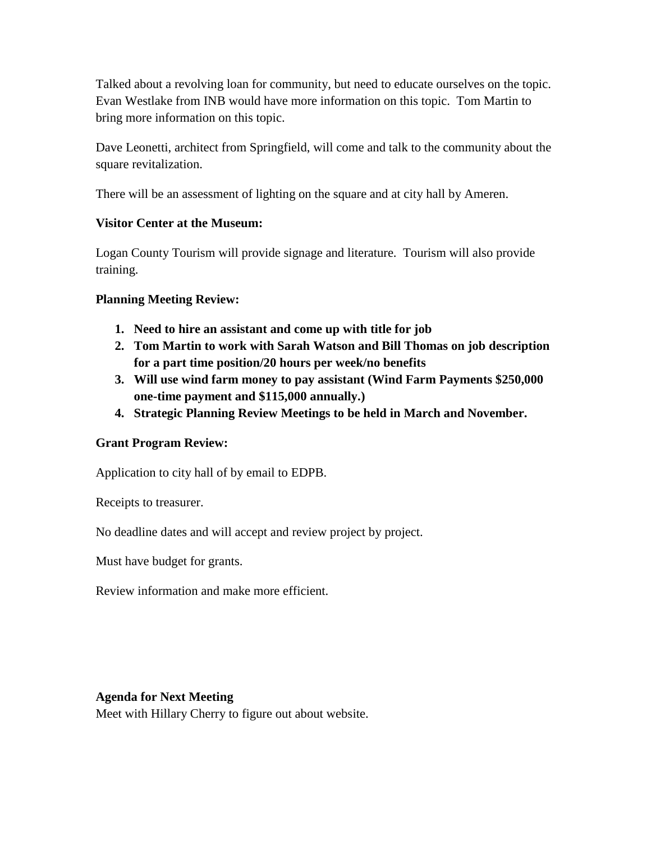Talked about a revolving loan for community, but need to educate ourselves on the topic. Evan Westlake from INB would have more information on this topic. Tom Martin to bring more information on this topic.

Dave Leonetti, architect from Springfield, will come and talk to the community about the square revitalization.

There will be an assessment of lighting on the square and at city hall by Ameren.

## **Visitor Center at the Museum:**

Logan County Tourism will provide signage and literature. Tourism will also provide training.

## **Planning Meeting Review:**

- **1. Need to hire an assistant and come up with title for job**
- **2. Tom Martin to work with Sarah Watson and Bill Thomas on job description for a part time position/20 hours per week/no benefits**
- **3. Will use wind farm money to pay assistant (Wind Farm Payments \$250,000 one-time payment and \$115,000 annually.)**
- **4. Strategic Planning Review Meetings to be held in March and November.**

# **Grant Program Review:**

Application to city hall of by email to EDPB.

Receipts to treasurer.

No deadline dates and will accept and review project by project.

Must have budget for grants.

Review information and make more efficient.

#### **Agenda for Next Meeting**

Meet with Hillary Cherry to figure out about website.